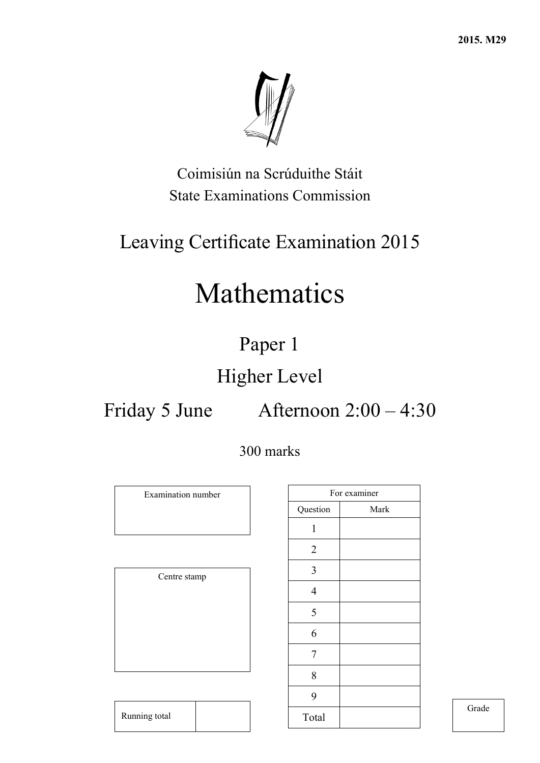

Coimisiún na Scrúduithe Stáit State Examinations Commission

## Leaving Certificate Examination 2015

# Mathematics

## Paper 1

## Higher Level

## Friday 5 June Afternoon 2:00 – 4:30

## 300 marks

Examination number

Centre stamp

Running total

|                | For examiner |
|----------------|--------------|
| Question       | Mark         |
| $\mathbf{1}$   |              |
| $\overline{2}$ |              |
| 3              |              |
| $\overline{4}$ |              |
| 5              |              |
| 6              |              |
| 7              |              |
| 8              |              |
| 9              |              |
| Total          |              |

Grade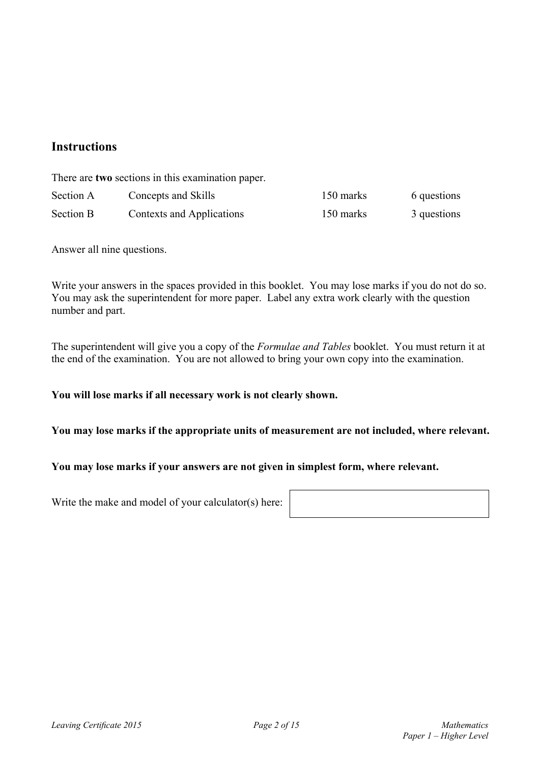### **Instructions**

There are **two** sections in this examination paper.

| Section A | Concepts and Skills       | 150 marks | 6 questions |
|-----------|---------------------------|-----------|-------------|
| Section B | Contexts and Applications | 150 marks | 3 questions |

Answer all nine questions.

Write your answers in the spaces provided in this booklet. You may lose marks if you do not do so. You may ask the superintendent for more paper. Label any extra work clearly with the question number and part.

The superintendent will give you a copy of the *Formulae and Tables* booklet. You must return it at the end of the examination. You are not allowed to bring your own copy into the examination.

### **You will lose marks if all necessary work is not clearly shown.**

### **You may lose marks if the appropriate units of measurement are not included, where relevant.**

### **You may lose marks if your answers are not given in simplest form, where relevant.**

Write the make and model of your calculator(s) here:

| Leaving Certificate 2015 |  |
|--------------------------|--|
|--------------------------|--|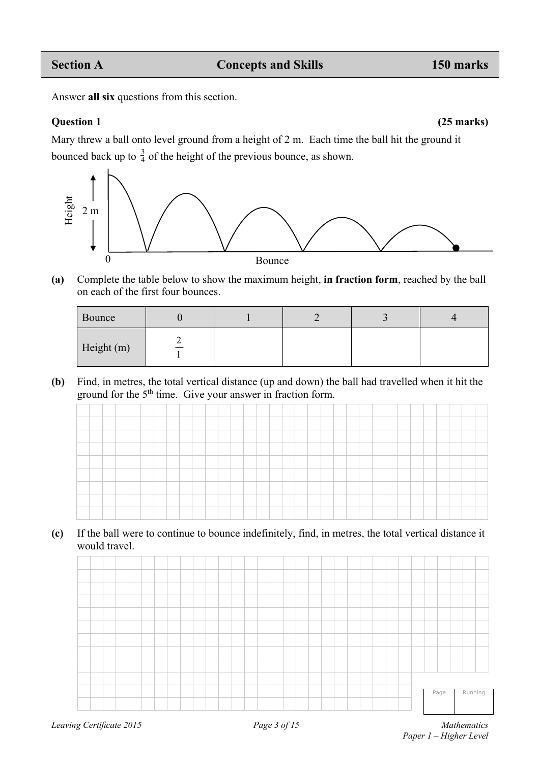Answer **all six** questions from this section.

**Question 1 (25 marks)** 

Mary threw a ball onto level ground from a height of 2 m.Each time the ball hit the ground it bounced back up to  $\frac{3}{4}$  of the height of the previous bounce, as shown.



**(a)** Complete the table below to show the maximum height, **in fraction form**, reached by the ball on each of the first four bounces.

| Bounce     |  |  |  |
|------------|--|--|--|
| Height (m) |  |  |  |

**(b)** Find, in metres, the total vertical distance (up and down) the ball had travelled when it hit the ground for the  $5<sup>th</sup>$  time. Give your answer in fraction form.

| and the property of      |  |  |        |  |        |  |  |  |  |  |  |  |  |  |  |  |
|--------------------------|--|--|--------|--|--------|--|--|--|--|--|--|--|--|--|--|--|
| the contract of the con- |  |  | ______ |  | ______ |  |  |  |  |  |  |  |  |  |  |  |
|                          |  |  |        |  |        |  |  |  |  |  |  |  |  |  |  |  |
|                          |  |  |        |  |        |  |  |  |  |  |  |  |  |  |  |  |

**(c)** If the ball were to continue to bounce indefinitely, find, in metres, the total vertical distance it would travel.

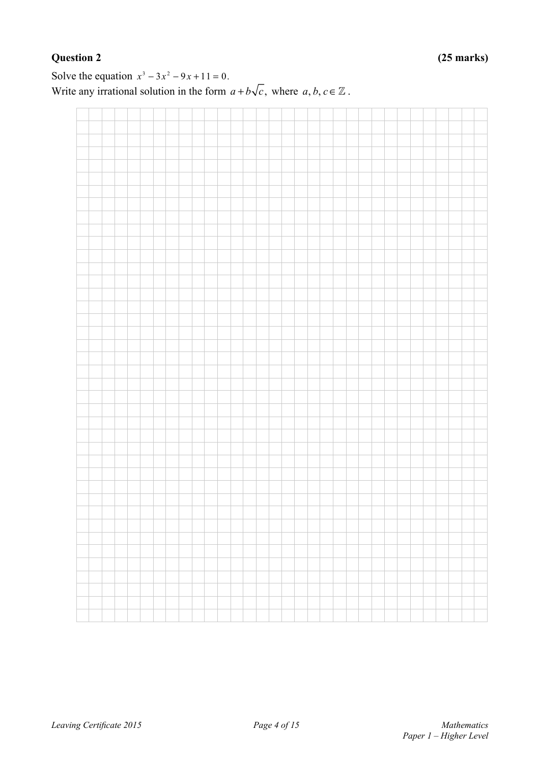Solve the equation  $x^3 - 3x^2 - 9x + 11 = 0$ . Write any irrational solution in the form  $a + b\sqrt{c}$ , where  $a, b, c \in \mathbb{Z}$ .

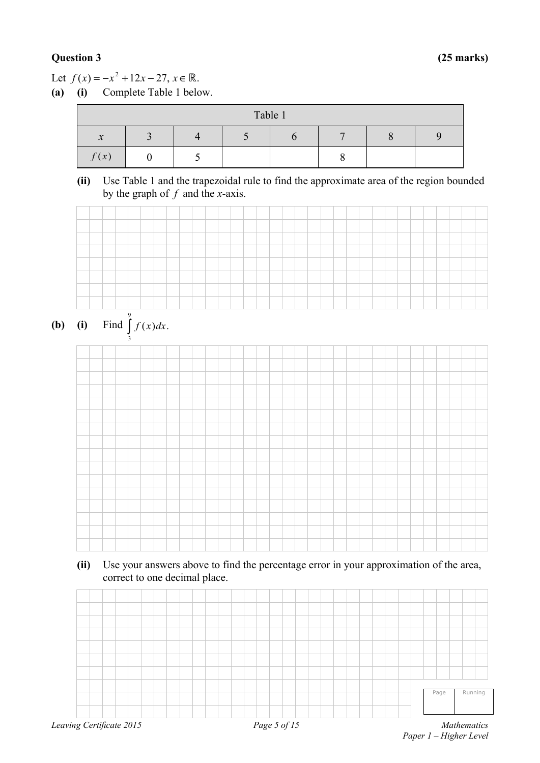### **Question 3 (25 marks)**

Let  $f(x) = -x^2 + 12x - 27, x \in \mathbb{R}$ .

**(a) (i)** Complete Table 1 below.

|               |  | Table 1 |  |  |
|---------------|--|---------|--|--|
| $\mathcal{X}$ |  |         |  |  |
| f(x)          |  |         |  |  |

**(ii)** Use Table 1 and the trapezoidal rule to find the approximate area of the region bounded by the graph of *f* and the *x*-axis.







**(ii)** Use your answers above to find the percentage error in your approximation of the area, correct to one decimal place.

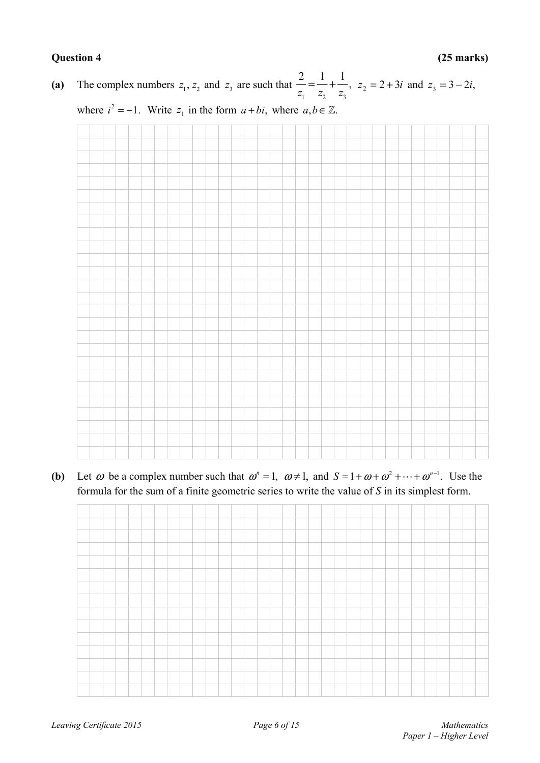**Question 4 (25 marks)** 

(a) The complex numbers  $z_1, z_2$  and  $z_3$  are such that  $\frac{2}{z_1} = \frac{1}{z_2} + \frac{1}{z_3}$ ,  $z_2 = 2 + 3i$  and  $z_3 = 3 - 2i$ ,

where  $i^2 = -1$ . Write  $z_1$  in the form  $a + bi$ , where  $a, b \in \mathbb{Z}$ .



**(b)** Let  $\omega$  be a complex number such that  $\omega^n = 1$ ,  $\omega \neq 1$ , and  $S = 1 + \omega + \omega^2 + \cdots + \omega^{n-1}$ . Use the formula for the sum of a finite geometric series to write the value of *S* in its simplest form.

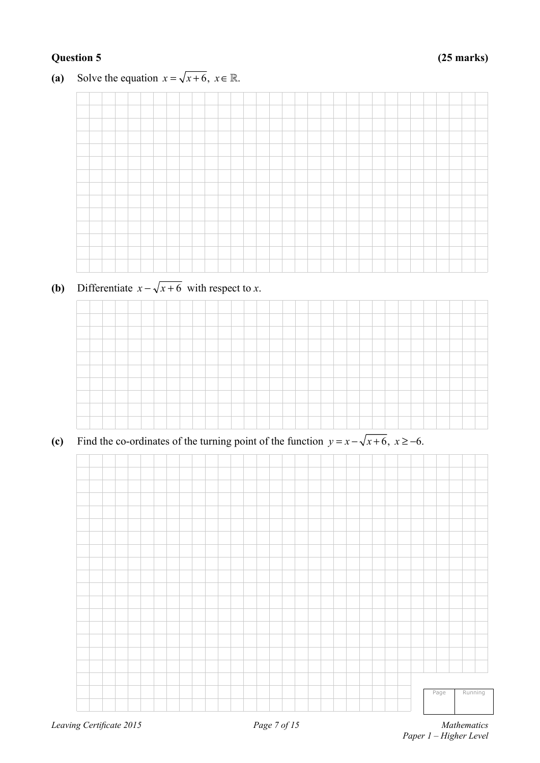### **Question 5 (25 marks)**

**(a)** Solve the equation  $x = \sqrt{x+6}$ ,  $x \in \mathbb{R}$ .



**(b)** Differentiate  $x - \sqrt{x+6}$  with respect to *x*.



**(c)** Find the co-ordinates of the turning point of the function  $y = x - \sqrt{x+6}$ ,  $x \ge -6$ .

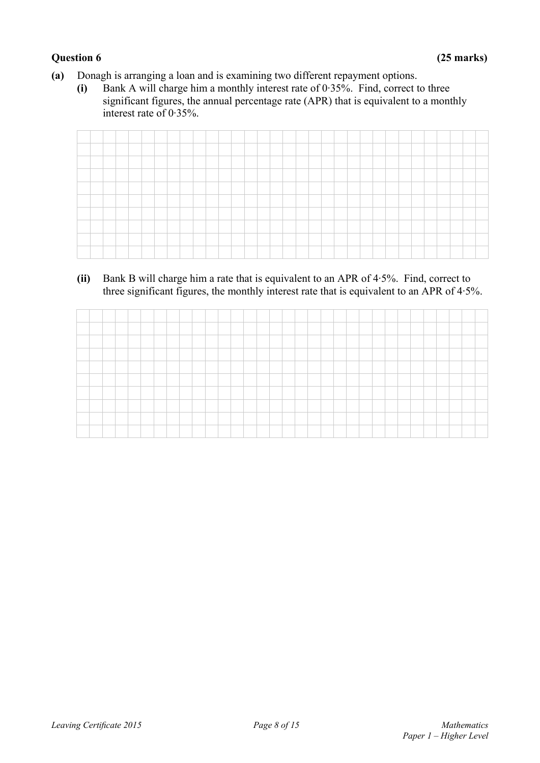### **Question 6 (25 marks)**

- **(a)** Donagh is arranging a loan and is examining two different repayment options.
	- **(i)** Bank A will charge him a monthly interest rate of 0·35%. Find, correct to three significant figures, the annual percentage rate (APR) that is equivalent to a monthly interest rate of 0·35%.

**(ii)** Bank B will charge him a rate that is equivalent to an APR of 4·5%. Find, correct to three significant figures, the monthly interest rate that is equivalent to an APR of 4·5%.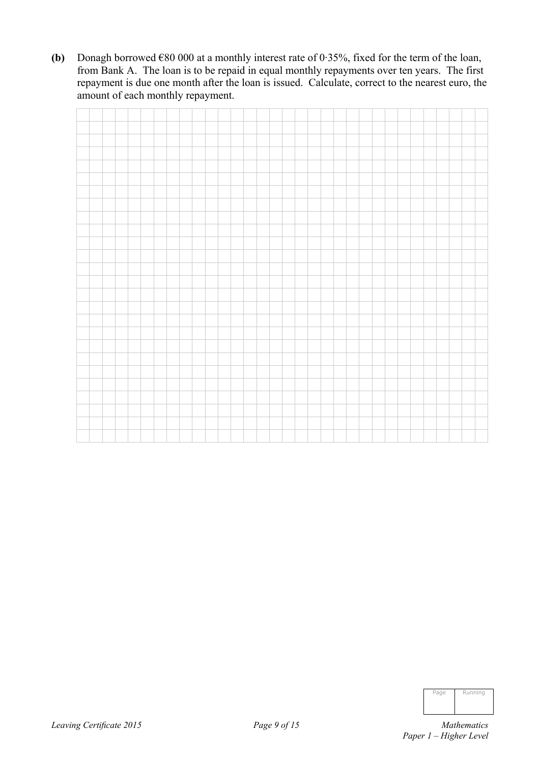**(b)** Donagh borrowed  $\epsilon$ 80 000 at a monthly interest rate of 0.35%, fixed for the term of the loan, from Bank A. The loan is to be repaid in equal monthly repayments over ten years. The first repayment is due one month after the loan is issued. Calculate, correct to the nearest euro, the amount of each monthly repayment.

| Page | Running |
|------|---------|
|      |         |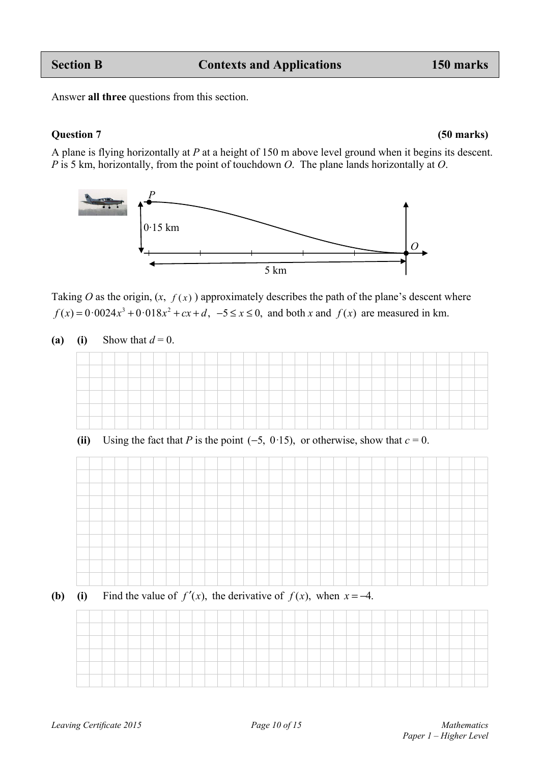Answer **all three** questions from this section.

### **Question 7 (50 marks)**

A plane is flying horizontally at *P* at a height of 150 m above level ground when it begins its descent. *P* is 5 km, horizontally, from the point of touchdown *O*. The plane lands horizontally at *O*.

*O P*  5 km 0·15 km

Taking *O* as the origin,  $(x, f(x))$  approximately describes the path of the plane's descent where  $f(x) = 0.0024x^3 + 0.018x^2 + cx + d$ ,  $-5 \le x \le 0$ , and both x and  $f(x)$  are measured in km.

(a) **(i)** Show that  $d = 0$ .

(ii) Using the fact that *P* is the point  $(-5, 0.15)$ , or otherwise, show that  $c = 0$ .

**(b)** (i) Find the value of  $f'(x)$ , the derivative of  $f(x)$ , when  $x = -4$ .

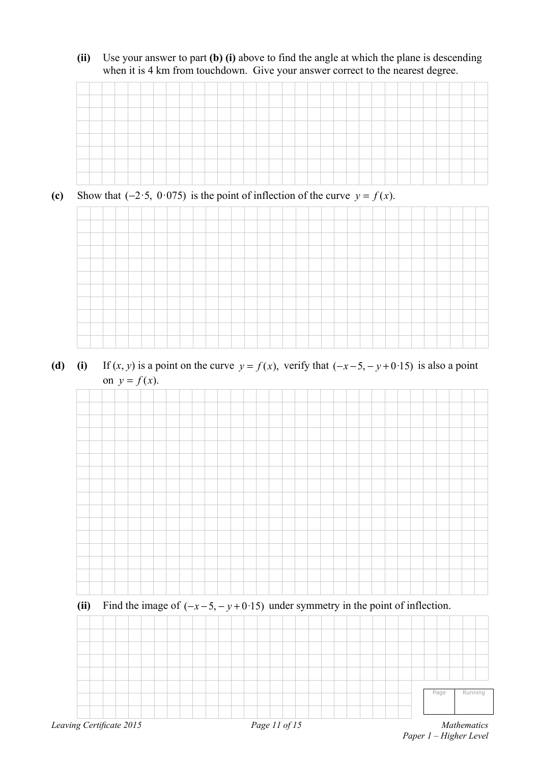**(ii)** Use your answer to part **(b) (i)** above to find the angle at which the plane is descending when it is 4 km from touchdown. Give your answer correct to the nearest degree.



(c) Show that ( $-2.5$ ,  $0.075$ ) is the point of inflection of the curve  $y = f(x)$ .



(d) (i) If  $(x, y)$  is a point on the curve  $y = f(x)$ , verify that  $(-x-5, -y+0.15)$  is also a point on  $y = f(x)$ .



Page Running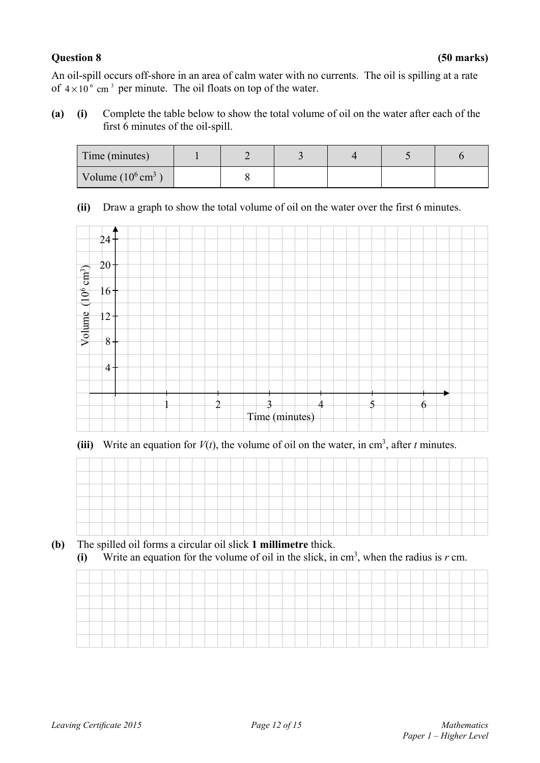### **Question 8 (50 marks)**

An oil-spill occurs off-shore in an area of calm water with no currents. The oil is spilling at a rate of  $4 \times 10^6$  cm<sup>3</sup> per minute. The oil floats on top of the water.

**(a) (i)** Complete the table below to show the total volume of oil on the water after each of the first 6 minutes of the oil-spill.

| Time (minutes)               |  |  |  |
|------------------------------|--|--|--|
| Volume $(10^6 \text{ cm}^3)$ |  |  |  |

**(ii)** Draw a graph to show the total volume of oil on the water over the first 6 minutes.



(iii) Write an equation for  $V(t)$ , the volume of oil on the water, in cm<sup>3</sup>, after *t* minutes.

| __                          |  |  |  |  |  |  |  |  |  |  |  |  |  |  |  |
|-----------------------------|--|--|--|--|--|--|--|--|--|--|--|--|--|--|--|
| and the company's company's |  |  |  |  |  |  |  |  |  |  |  |  |  |  |  |
|                             |  |  |  |  |  |  |  |  |  |  |  |  |  |  |  |
| __                          |  |  |  |  |  |  |  |  |  |  |  |  |  |  |  |
|                             |  |  |  |  |  |  |  |  |  |  |  |  |  |  |  |

**(b)** The spilled oil forms a circular oil slick **1 millimetre** thick.

| (i) Write an equation for the volume of oil in the slick, in $cm3$ , when the radius is r cm. |  |  |  |  |  |
|-----------------------------------------------------------------------------------------------|--|--|--|--|--|

| _ |  |  |  |  |  |  |  |  |  |  |  |  |  |  |  |  |
|---|--|--|--|--|--|--|--|--|--|--|--|--|--|--|--|--|
|   |  |  |  |  |  |  |  |  |  |  |  |  |  |  |  |  |
|   |  |  |  |  |  |  |  |  |  |  |  |  |  |  |  |  |
|   |  |  |  |  |  |  |  |  |  |  |  |  |  |  |  |  |
|   |  |  |  |  |  |  |  |  |  |  |  |  |  |  |  |  |
|   |  |  |  |  |  |  |  |  |  |  |  |  |  |  |  |  |
|   |  |  |  |  |  |  |  |  |  |  |  |  |  |  |  |  |
|   |  |  |  |  |  |  |  |  |  |  |  |  |  |  |  |  |
|   |  |  |  |  |  |  |  |  |  |  |  |  |  |  |  |  |
|   |  |  |  |  |  |  |  |  |  |  |  |  |  |  |  |  |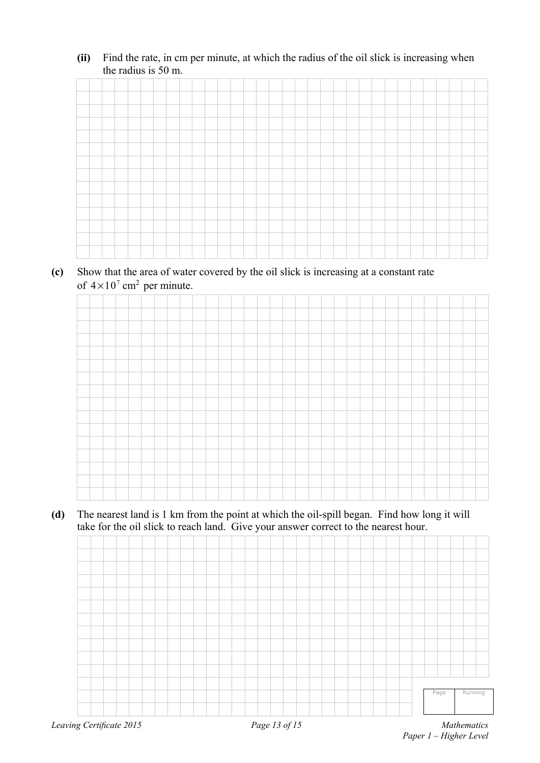**(ii)** Find the rate, in cm per minute, at which the radius of the oil slick is increasing when the radius is 50 m.

**(c)** Show that the area of water covered by the oil slick is increasing at a constant rate of  $4 \times 10^7$  cm<sup>2</sup> per minute.

**(d)** The nearest land is 1 km from the point at which the oil-spill began. Find how long it will take for the oil slick to reach land. Give your answer correct to the nearest hour.

| Leaving Certificate 2015 | Page 13 of 15 | Mathematics |         |
|--------------------------|---------------|-------------|---------|
|                          |               |             |         |
|                          |               | Page        | Running |
|                          |               |             |         |
|                          |               |             |         |
|                          |               |             |         |
|                          |               |             |         |
|                          |               |             |         |
|                          |               |             |         |
|                          |               |             |         |
|                          |               |             |         |
|                          |               |             |         |
|                          |               |             |         |
|                          |               |             |         |
|                          |               |             |         |
|                          |               |             |         |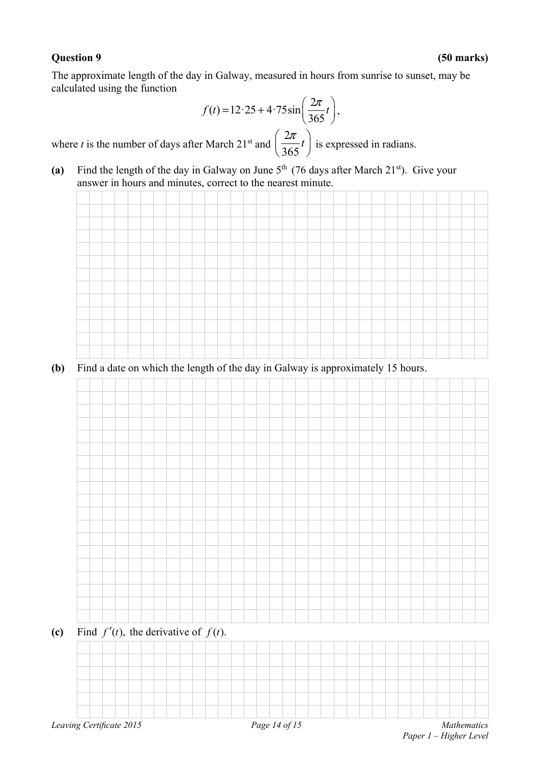The approximate length of the day in Galway, measured in hours from sunrise to sunset, may be calculated using the function

$$
f(t) = 12.25 + 4.75 \sin\left(\frac{2\pi}{365}t\right),
$$

where  $t$  is the number of days after March  $21<sup>st</sup>$  and 2  $\left(\frac{2\pi}{365}t\right)$  is expressed in radians.

(a) Find the length of the day in Galway on June  $5<sup>th</sup>$  (76 days after March 21<sup>st</sup>). Give your answer in hours and minutes, correct to the nearest minute.



**(b)** Find a date on which the length of the day in Galway is approximately 15 hours.

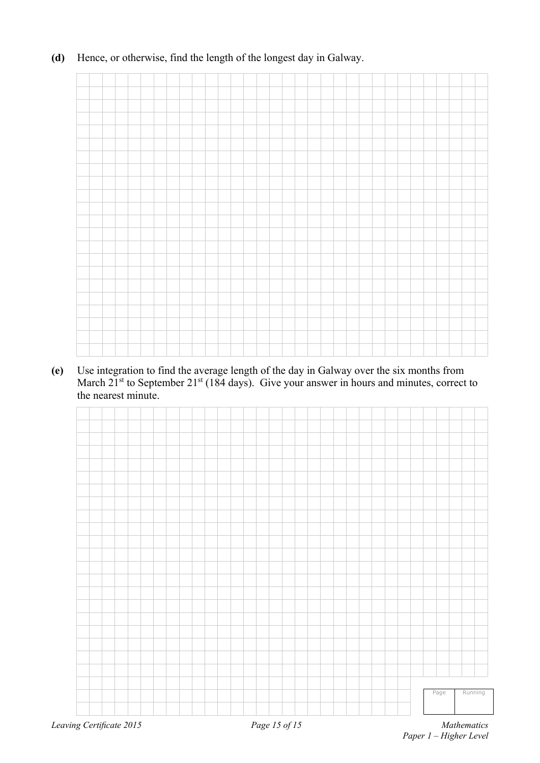**(d)** Hence, or otherwise, find the length of the longest day in Galway.

**(e)** Use integration to find the average length of the day in Galway over the six months from March  $21<sup>st</sup>$  to September  $21<sup>st</sup>$  (184 days). Give your answer in hours and minutes, correct to the nearest minute.